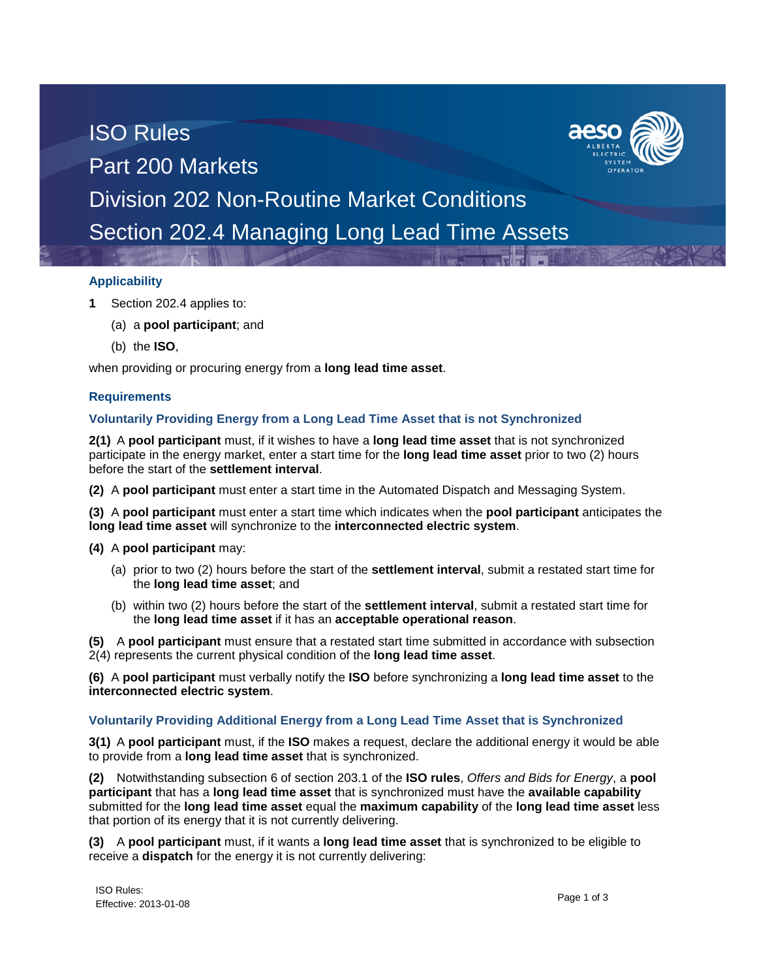# ISO Rules Part 200 Markets Division 202 Non-Routine Market Conditions Section 202.4 Managing Long Lead Time Assets

#### **Applicability**

- **1** Section 202.4 applies to:
	- (a) a **pool participant**; and
	- (b) the **ISO**,

when providing or procuring energy from a **long lead time asset**.

### **Requirements**

### **Voluntarily Providing Energy from a Long Lead Time Asset that is not Synchronized**

**2(1)** A **pool participant** must, if it wishes to have a **long lead time asset** that is not synchronized participate in the energy market, enter a start time for the **long lead time asset** prior to two (2) hours before the start of the **settlement interval**.

**(2)** A **pool participant** must enter a start time in the Automated Dispatch and Messaging System.

**(3)** A **pool participant** must enter a start time which indicates when the **pool participant** anticipates the **long lead time asset** will synchronize to the **interconnected electric system**.

- **(4)** A **pool participant** may:
	- (a) prior to two (2) hours before the start of the **settlement interval**, submit a restated start time for the **long lead time asset**; and
	- (b) within two (2) hours before the start of the **settlement interval**, submit a restated start time for the **long lead time asset** if it has an **acceptable operational reason**.

**(5)** A **pool participant** must ensure that a restated start time submitted in accordance with subsection 2(4) represents the current physical condition of the **long lead time asset**.

**(6)** A **pool participant** must verbally notify the **ISO** before synchronizing a **long lead time asset** to the **interconnected electric system**.

#### **Voluntarily Providing Additional Energy from a Long Lead Time Asset that is Synchronized**

**3(1)** A **pool participant** must, if the **ISO** makes a request, declare the additional energy it would be able to provide from a **long lead time asset** that is synchronized.

**(2)** Notwithstanding subsection 6 of section 203.1 of the **ISO rules**, *Offers and Bids for Energy*, a **pool participant** that has a **long lead time asset** that is synchronized must have the **available capability** submitted for the **long lead time asset** equal the **maximum capability** of the **long lead time asset** less that portion of its energy that it is not currently delivering.

**(3)** A **pool participant** must, if it wants a **long lead time asset** that is synchronized to be eligible to receive a **dispatch** for the energy it is not currently delivering:

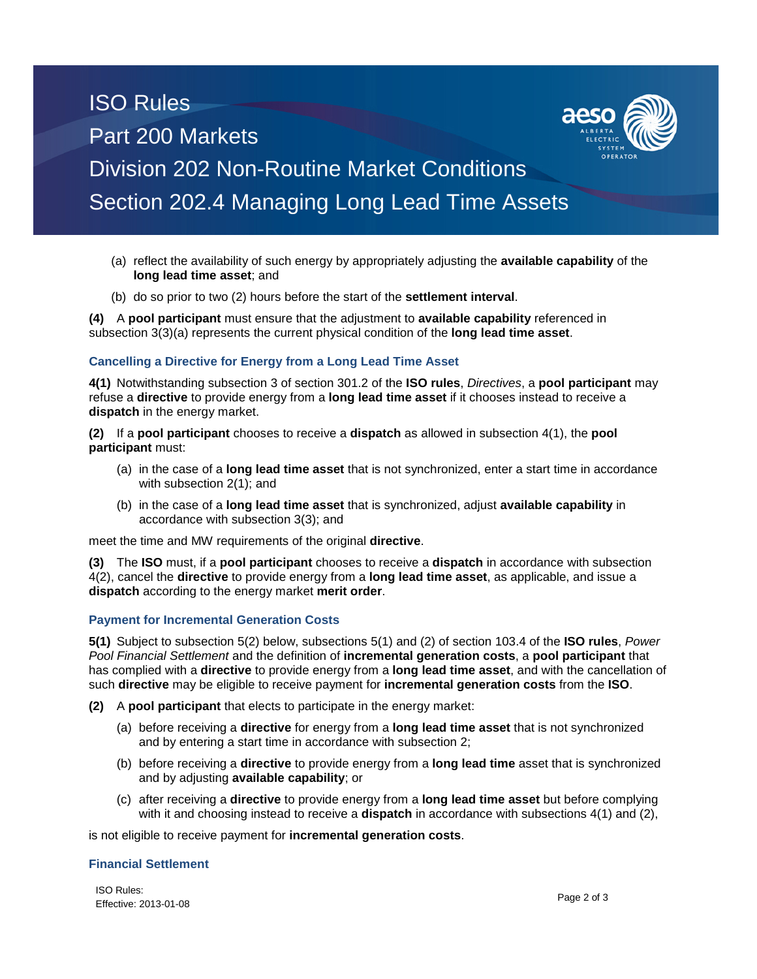## ISO Rules Part 200 Markets Division 202 Non-Routine Market Conditions Section 202.4 Managing Long Lead Time Assets

- (a) reflect the availability of such energy by appropriately adjusting the **available capability** of the **long lead time asset**; and
- (b) do so prior to two (2) hours before the start of the **settlement interval**.

**(4)** A **pool participant** must ensure that the adjustment to **available capability** referenced in subsection 3(3)(a) represents the current physical condition of the **long lead time asset**.

#### **Cancelling a Directive for Energy from a Long Lead Time Asset**

**4(1)** Notwithstanding subsection 3 of section 301.2 of the **ISO rules**, *Directives*, a **pool participant** may refuse a **directive** to provide energy from a **long lead time asset** if it chooses instead to receive a **dispatch** in the energy market.

**(2)** If a **pool participant** chooses to receive a **dispatch** as allowed in subsection 4(1), the **pool participant** must:

- (a) in the case of a **long lead time asset** that is not synchronized, enter a start time in accordance with subsection 2(1); and
- (b) in the case of a **long lead time asset** that is synchronized, adjust **available capability** in accordance with subsection 3(3); and

meet the time and MW requirements of the original **directive**.

**(3)** The **ISO** must, if a **pool participant** chooses to receive a **dispatch** in accordance with subsection 4(2), cancel the **directive** to provide energy from a **long lead time asset**, as applicable, and issue a **dispatch** according to the energy market **merit order**.

#### **Payment for Incremental Generation Costs**

**5(1)** Subject to subsection 5(2) below, subsections 5(1) and (2) of section 103.4 of the **ISO rules**, *Power Pool Financial Settlement* and the definition of **incremental generation costs**, a **pool participant** that has complied with a **directive** to provide energy from a **long lead time asset**, and with the cancellation of such **directive** may be eligible to receive payment for **incremental generation costs** from the **ISO**.

**(2)** A **pool participant** that elects to participate in the energy market:

- (a) before receiving a **directive** for energy from a **long lead time asset** that is not synchronized and by entering a start time in accordance with subsection 2;
- (b) before receiving a **directive** to provide energy from a **long lead time** asset that is synchronized and by adjusting **available capability**; or
- (c) after receiving a **directive** to provide energy from a **long lead time asset** but before complying with it and choosing instead to receive a **dispatch** in accordance with subsections 4(1) and (2),

is not eligible to receive payment for **incremental generation costs**.

#### **Financial Settlement**

ISO Rules: Effective: 2013-01-08 Page 2 of 3